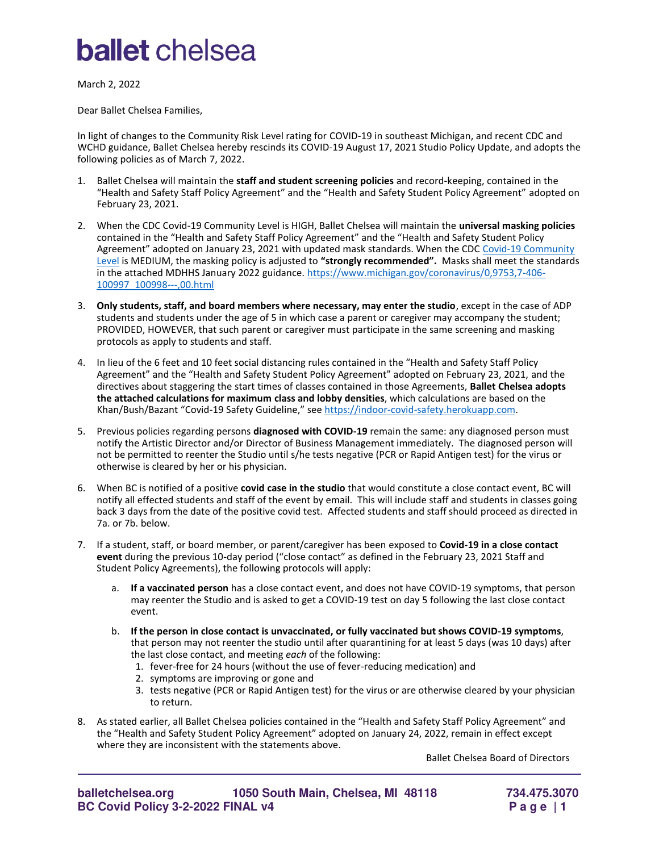## **ballet** chelsea

March 2, 2022

Dear Ballet Chelsea Families,

In light of changes to the Community Risk Level rating for COVID-19 in southeast Michigan, and recent CDC and WCHD guidance, Ballet Chelsea hereby rescinds its COVID-19 August 17, 2021 Studio Policy Update, and adopts the following policies as of March 7, 2022.

- 1. Ballet Chelsea will maintain the **staff and student screening policies** and record-keeping, contained in the "Health and Safety Staff Policy Agreement" and the "Health and Safety Student Policy Agreement" adopted on February 23, 2021.
- 2. When the CDC Covid-19 Community Level is HIGH, Ballet Chelsea will maintain the **universal masking policies** contained in the "Health and Safety Staff Policy Agreement" and the "Health and Safety Student Policy Agreement" adopted on January 23, 2021 with updated mask standards. When the CDC Covid-19 Community [Level](https://www.cdc.gov/coronavirus/2019-ncov/your-health/covid-by-county.html) is MEDIUM, the masking policy is adjusted to **"strongly recommended".** Masks shall meet the standards in the attached MDHHS January 2022 guidance[. https://www.michigan.gov/coronavirus/0,9753,7-406-](https://www.michigan.gov/coronavirus/0,9753,7-406-100997_100998---,00.html) [100997\\_100998---,00.html](https://www.michigan.gov/coronavirus/0,9753,7-406-100997_100998---,00.html)
- 3. **Only students, staff, and board members where necessary, may enter the studio**, except in the case of ADP students and students under the age of 5 in which case a parent or caregiver may accompany the student; PROVIDED, HOWEVER, that such parent or caregiver must participate in the same screening and masking protocols as apply to students and staff.
- 4. In lieu of the 6 feet and 10 feet social distancing rules contained in the "Health and Safety Staff Policy Agreement" and the "Health and Safety Student Policy Agreement" adopted on February 23, 2021, and the directives about staggering the start times of classes contained in those Agreements, **Ballet Chelsea adopts the attached calculations for maximum class and lobby densities**, which calculations are based on the Khan/Bush/Bazant "Covid-19 Safety Guideline," see [https://indoor-covid-safety.herokuapp.com.](https://indoor-covid-safety.herokuapp.com/)
- 5. Previous policies regarding persons **diagnosed with COVID-19** remain the same: any diagnosed person must notify the Artistic Director and/or Director of Business Management immediately. The diagnosed person will not be permitted to reenter the Studio until s/he tests negative (PCR or Rapid Antigen test) for the virus or otherwise is cleared by her or his physician.
- 6. When BC is notified of a positive **covid case in the studio** that would constitute a close contact event, BC will notify all effected students and staff of the event by email. This will include staff and students in classes going back 3 days from the date of the positive covid test. Affected students and staff should proceed as directed in 7a. or 7b. below.
- 7. If a student, staff, or board member, or parent/caregiver has been exposed to **Covid-19 in a close contact event** during the previous 10-day period ("close contact" as defined in the February 23, 2021 Staff and Student Policy Agreements), the following protocols will apply:
	- a. **If a vaccinated person** has a close contact event, and does not have COVID-19 symptoms, that person may reenter the Studio and is asked to get a COVID-19 test on day 5 following the last close contact event.
	- b. **If the person in close contact is unvaccinated, or fully vaccinated but shows COVID-19 symptoms**, that person may not reenter the studio until after quarantining for at least 5 days (was 10 days) after the last close contact, and meeting *each* of the following:
		- 1. fever-free for 24 hours (without the use of fever-reducing medication) and
		- 2. symptoms are improving or gone and
		- 3. tests negative (PCR or Rapid Antigen test) for the virus or are otherwise cleared by your physician to return.
- 8. As stated earlier, all Ballet Chelsea policies contained in the "Health and Safety Staff Policy Agreement" and the "Health and Safety Student Policy Agreement" adopted on January 24, 2022, remain in effect except where they are inconsistent with the statements above.

Ballet Chelsea Board of Directors